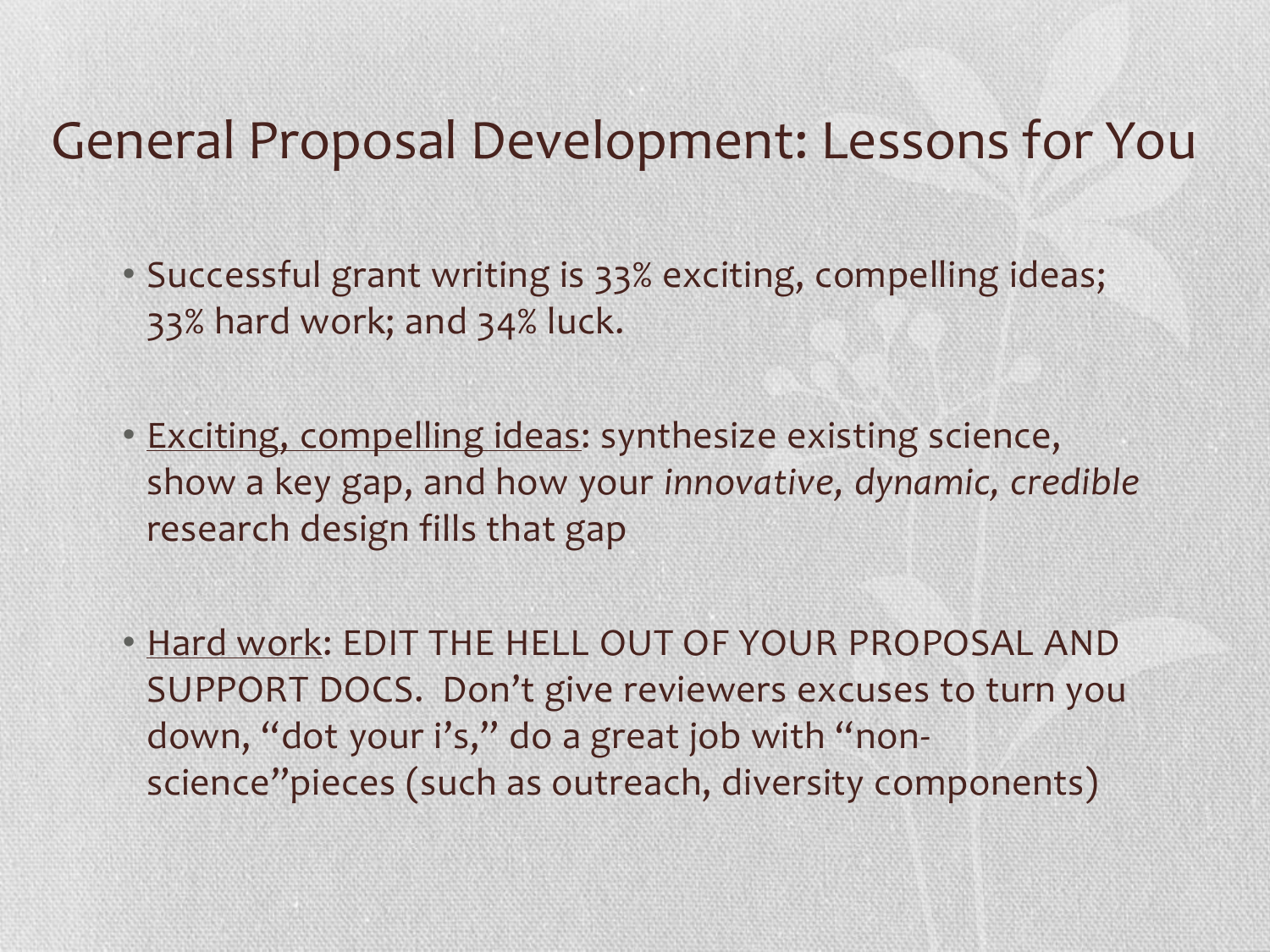### General Proposal Development: Lessons for You

- Successful grant writing is 33% exciting, compelling ideas; 33% hard work; and 34% luck.
- Exciting, compelling ideas: synthesize existing science, show a key gap, and how your *innovative, dynamic, credible* research design fills that gap
- Hard work: EDIT THE HELL OUT OF YOUR PROPOSAL AND SUPPORT DOCS. Don't give reviewers excuses to turn you down, "dot your i's," do a great job with "nonscience"pieces (such as outreach, diversity components)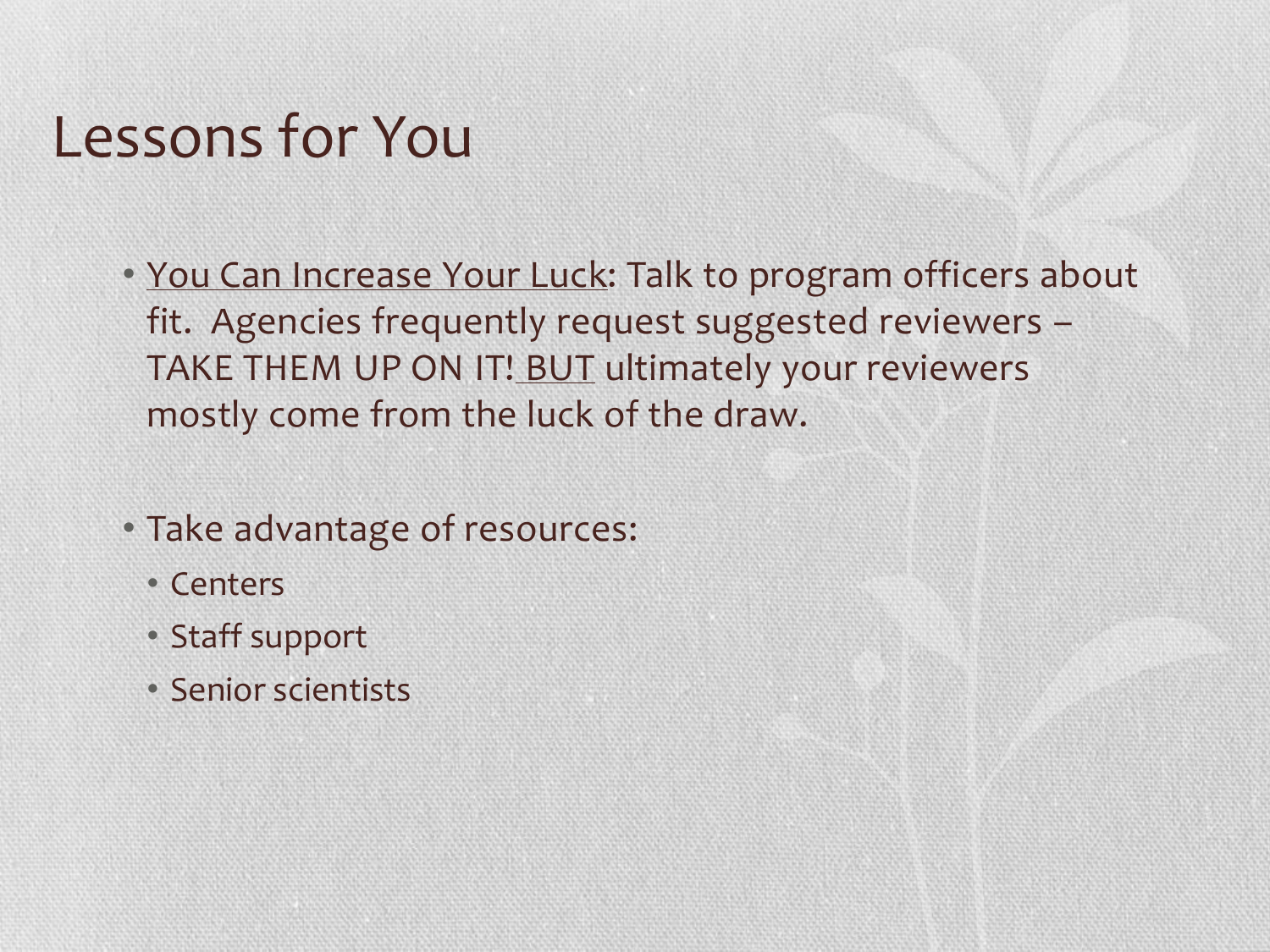## Lessons for You

- You Can Increase Your Luck: Talk to program officers about fit. Agencies frequently request suggested reviewers – TAKE THEM UP ON IT! BUT ultimately your reviewers mostly come from the luck of the draw.
- Take advantage of resources:
	- Centers
	- Staff support
	- Senior scientists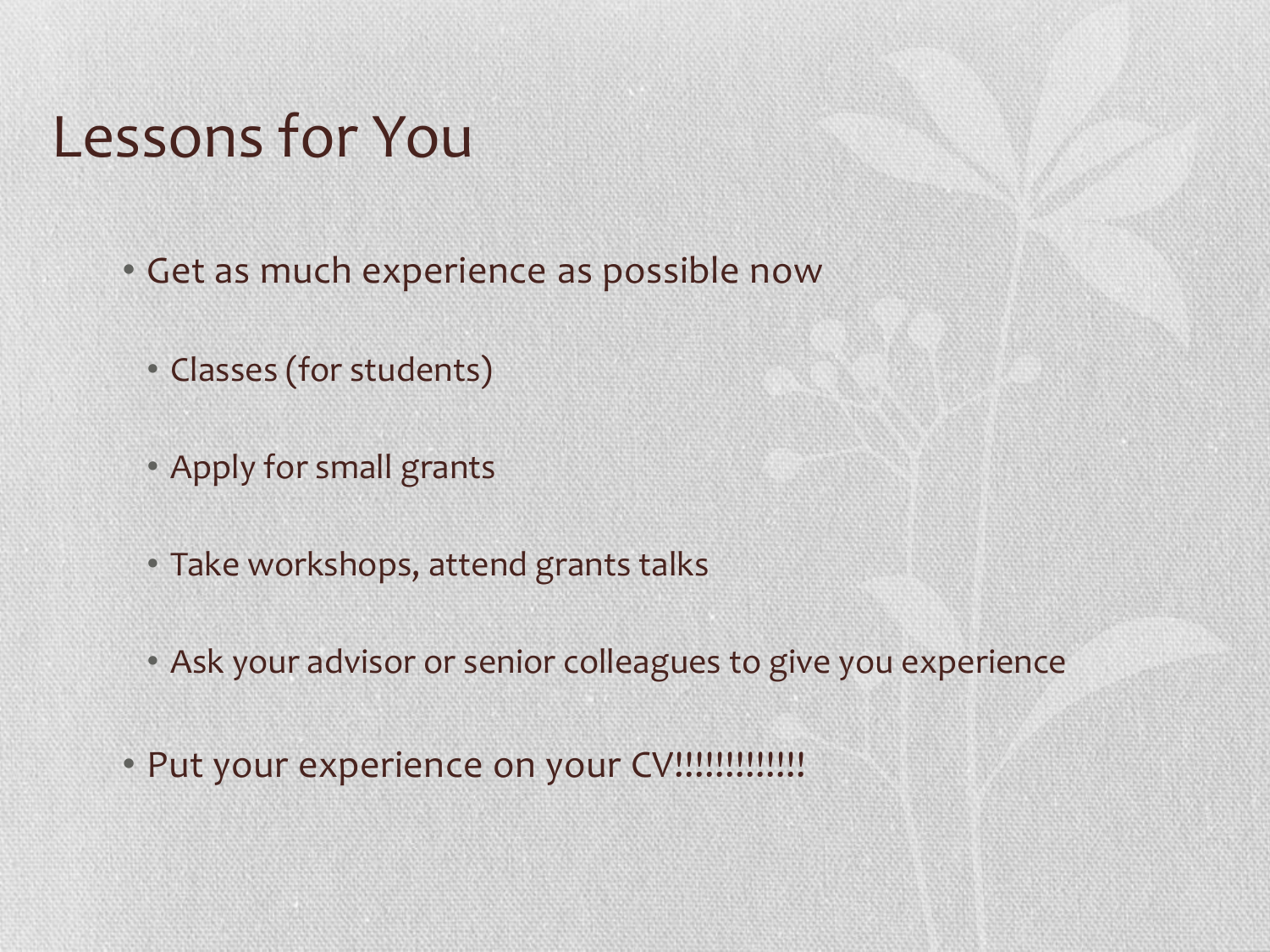## Lessons for You

- Get as much experience as possible now
	- Classes (for students)
	- Apply for small grants
	- Take workshops, attend grants talks
	- Ask your advisor or senior colleagues to give you experience
- Put your experience on your CV!!!!!!!!!!!!!!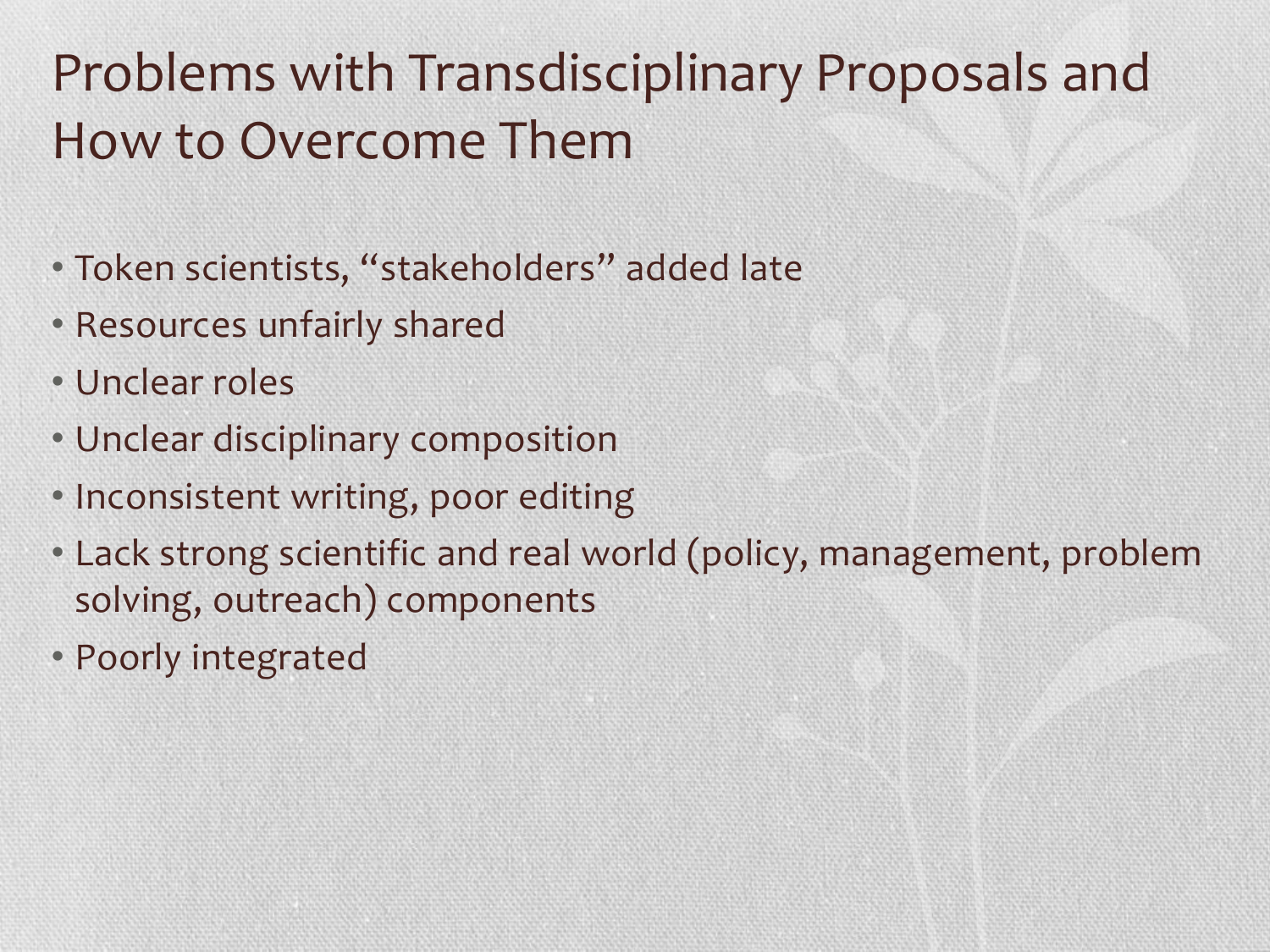### Problems with Transdisciplinary Proposals and How to Overcome Them

- Token scientists, "stakeholders" added late
- Resources unfairly shared
- Unclear roles
- Unclear disciplinary composition
- Inconsistent writing, poor editing
- Lack strong scientific and real world (policy, management, problem solving, outreach) components
- Poorly integrated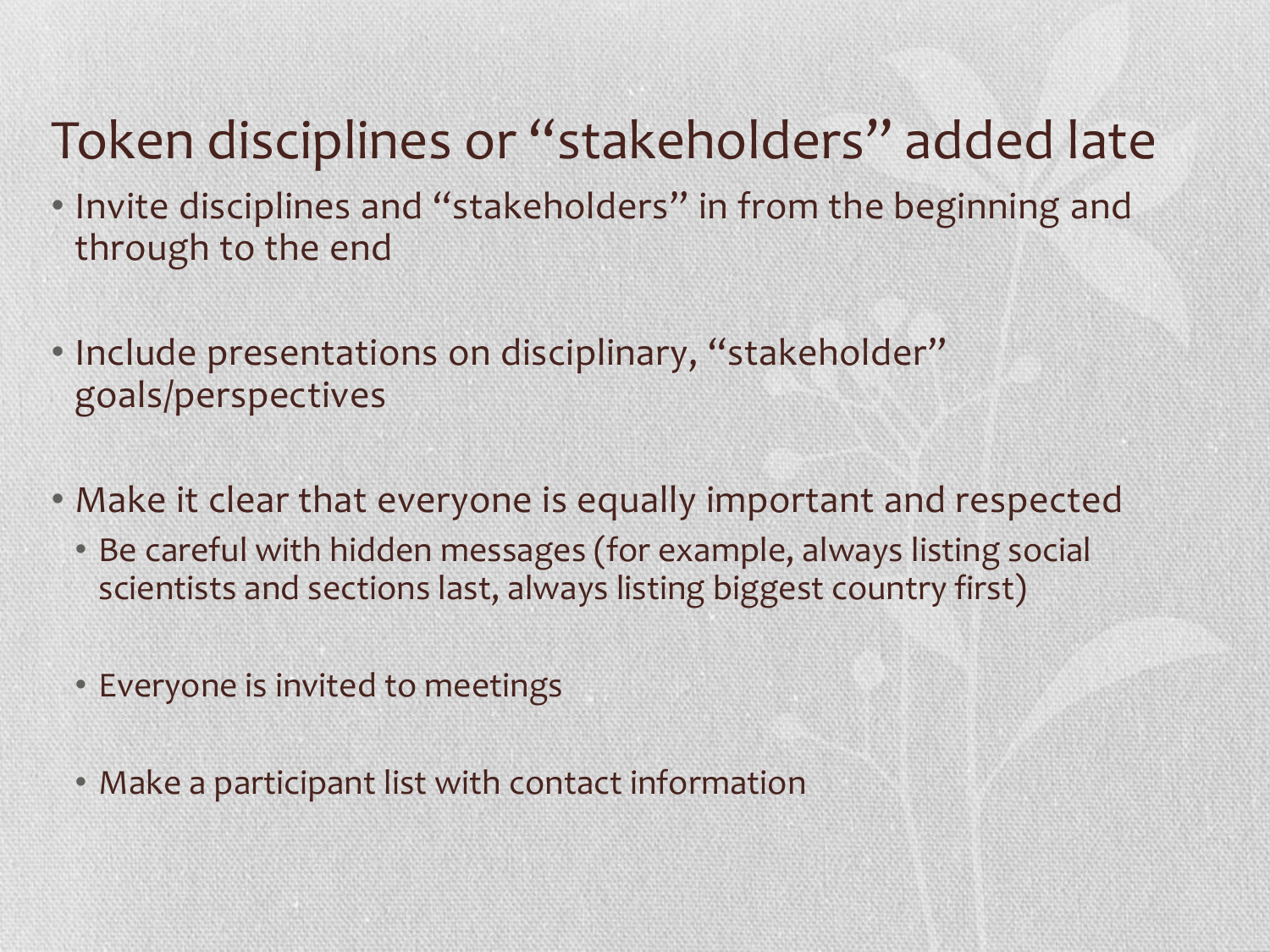### Token disciplines or "stakeholders" added late

- Invite disciplines and "stakeholders" in from the beginning and through to the end
- Include presentations on disciplinary, "stakeholder" goals/perspectives
- Make it clear that everyone is equally important and respected
	- Be careful with hidden messages (for example, always listing social scientists and sections last, always listing biggest country first)
	- Everyone is invited to meetings
	- Make a participant list with contact information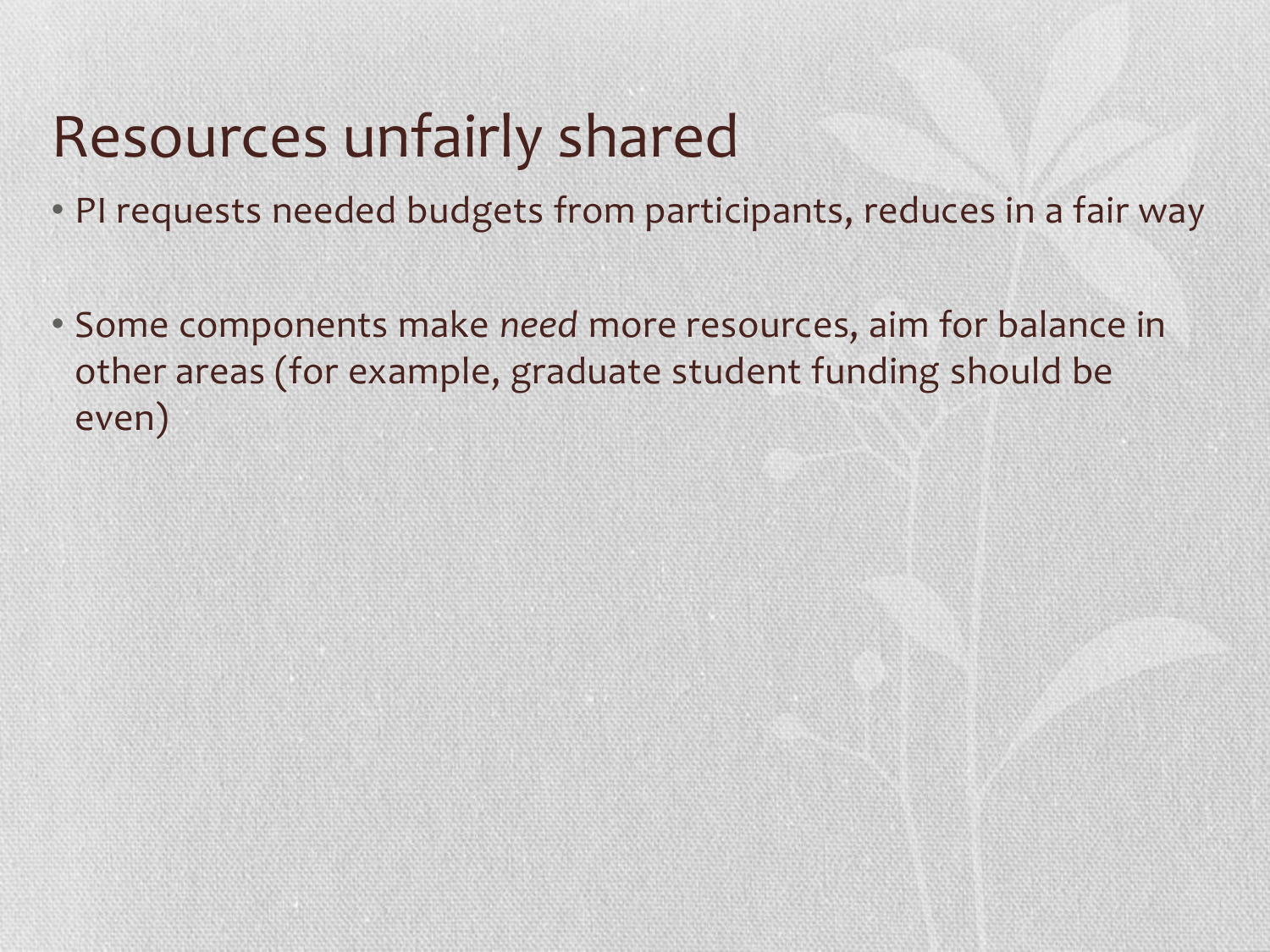### Resources unfairly shared

- PI requests needed budgets from participants, reduces in a fair way
- Some components make *need* more resources, aim for balance in other areas (for example, graduate student funding should be even)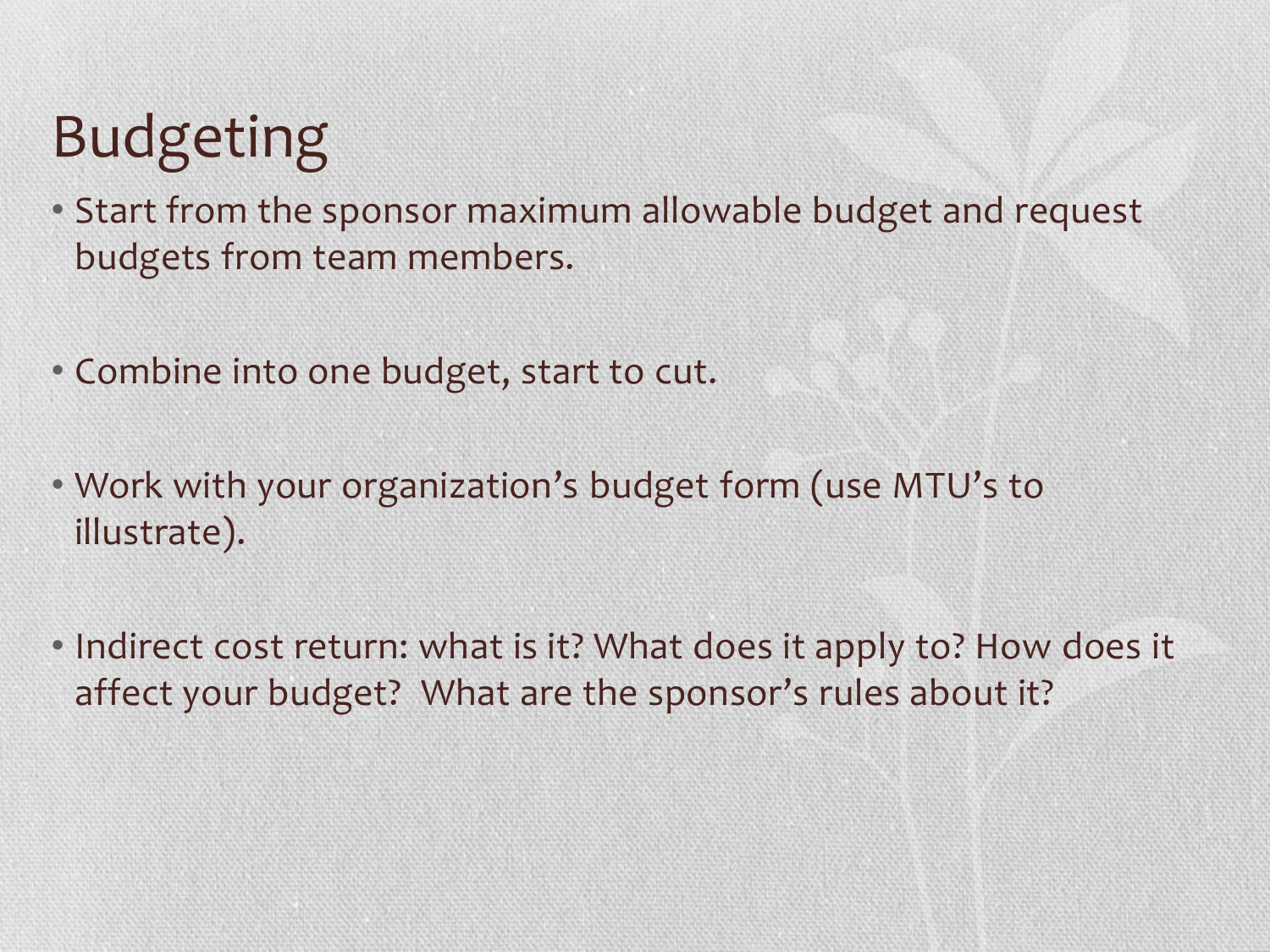# Budgeting

- Start from the sponsor maximum allowable budget and request budgets from team members.
- Combine into one budget, start to cut.
- Work with your organization's budget form (use MTU's to illustrate).
- Indirect cost return: what is it? What does it apply to? How does it affect your budget? What are the sponsor's rules about it?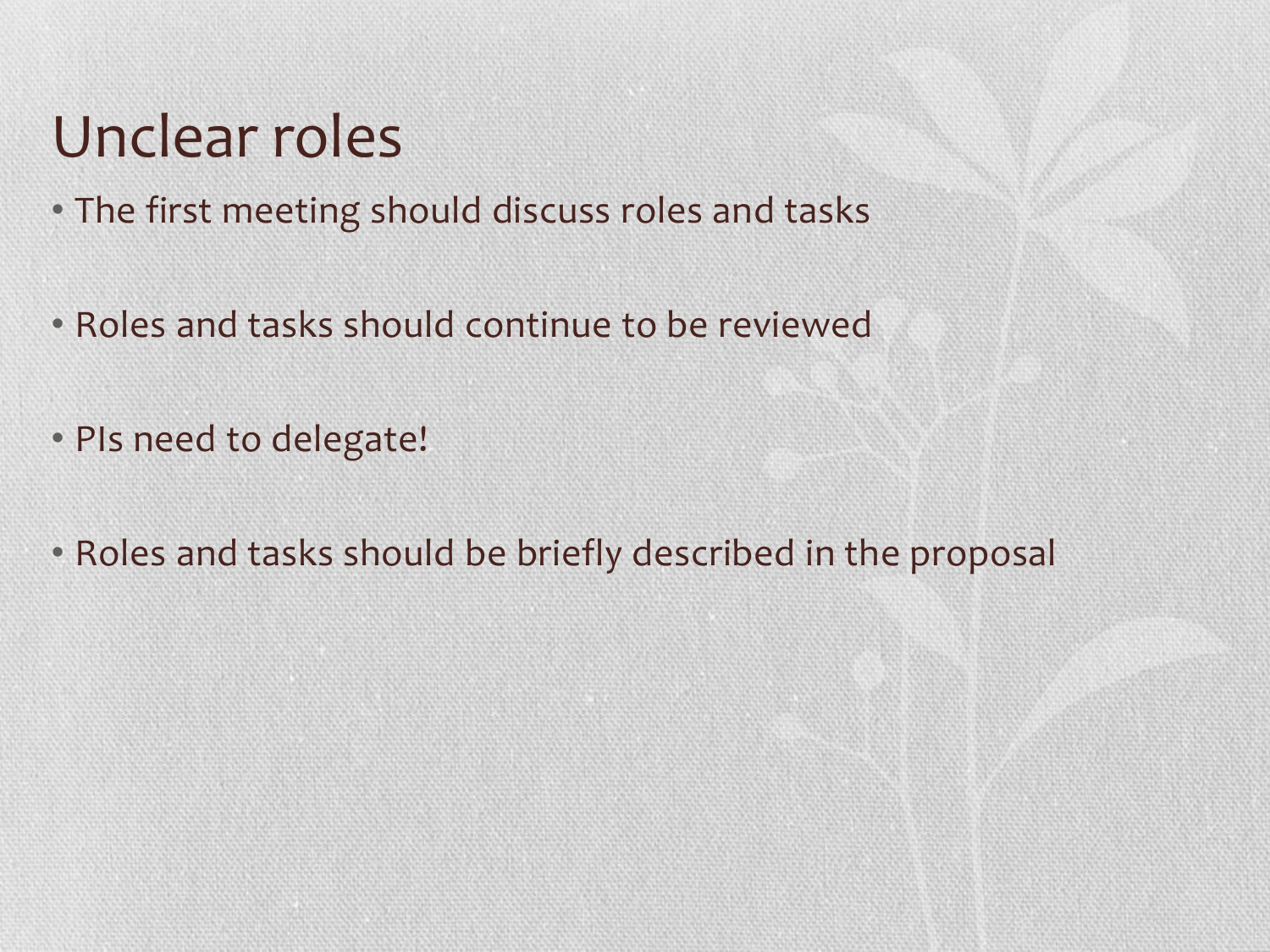### Unclear roles

- The first meeting should discuss roles and tasks
- Roles and tasks should continue to be reviewed
- PIs need to delegate!
- Roles and tasks should be briefly described in the proposal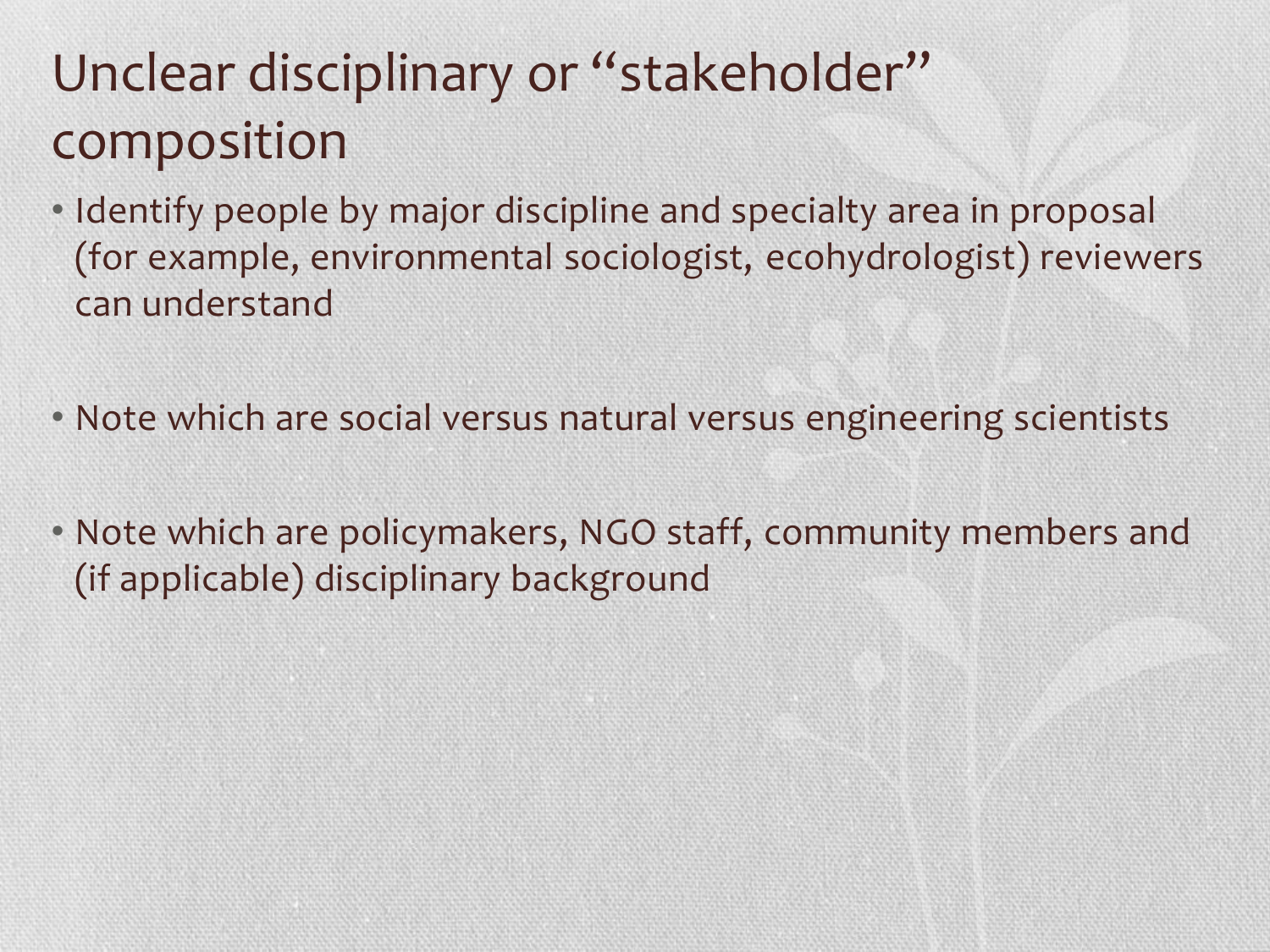### Unclear disciplinary or "stakeholder" composition

- Identify people by major discipline and specialty area in proposal (for example, environmental sociologist, ecohydrologist) reviewers can understand
- Note which are social versus natural versus engineering scientists
- Note which are policymakers, NGO staff, community members and (if applicable) disciplinary background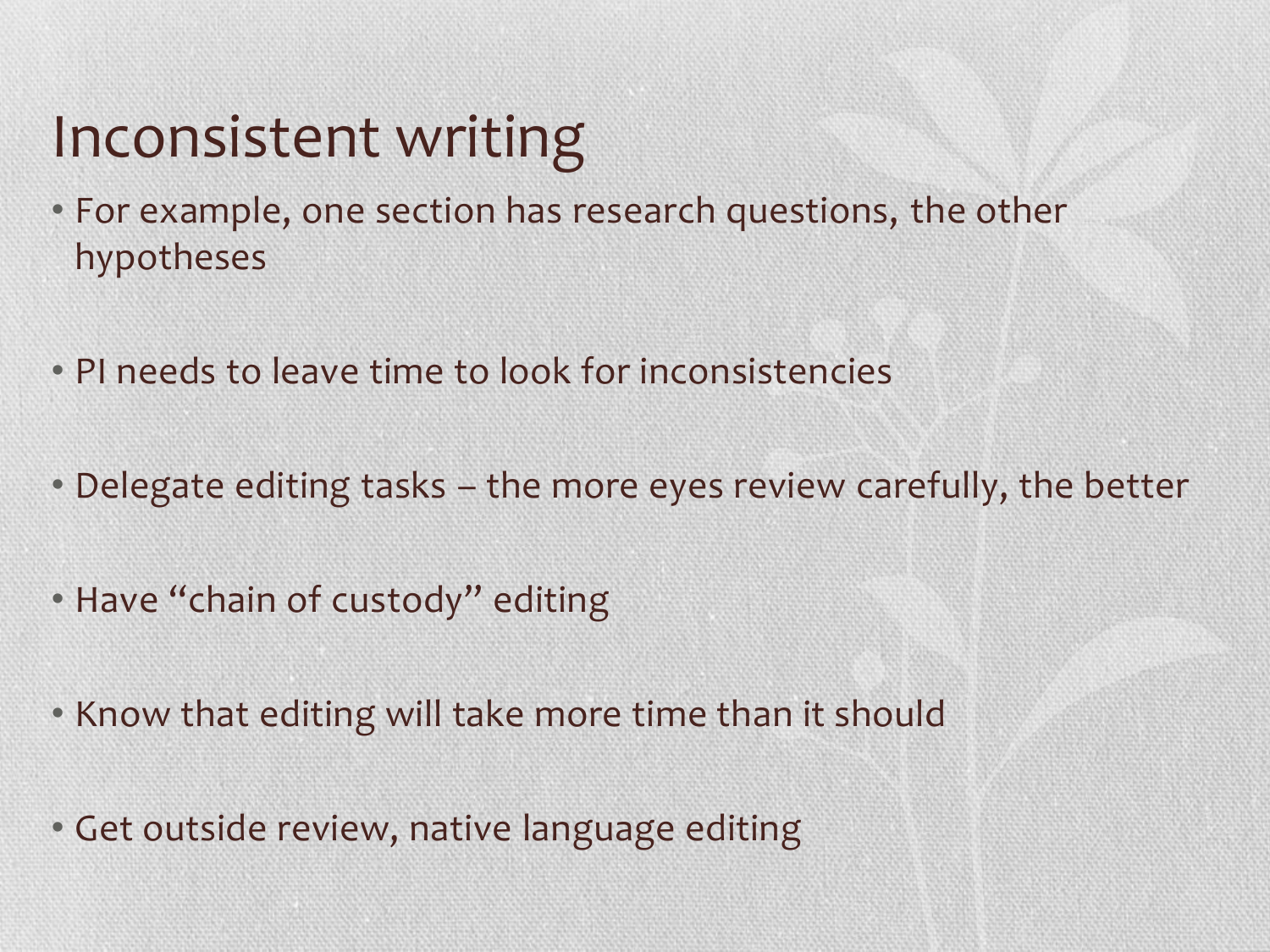## Inconsistent writing

- For example, one section has research questions, the other hypotheses
- PI needs to leave time to look for inconsistencies
- Delegate editing tasks the more eyes review carefully, the better
- Have "chain of custody" editing
- Know that editing will take more time than it should
- Get outside review, native language editing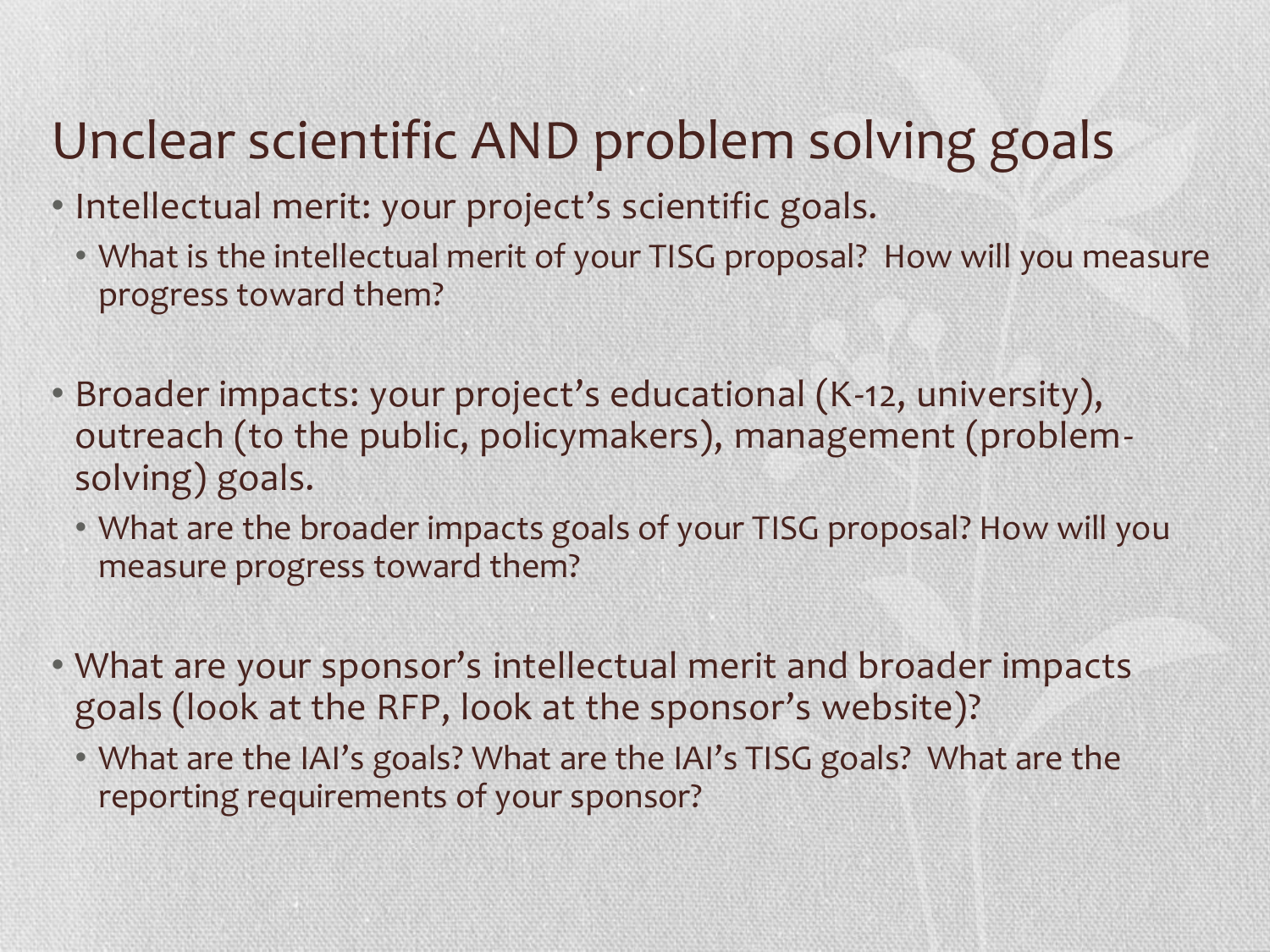### Unclear scientific AND problem solving goals

- Intellectual merit: your project's scientific goals.
	- What is the intellectual merit of your TISG proposal? How will you measure progress toward them?
- Broader impacts: your project's educational (K-12, university), outreach (to the public, policymakers), management (problemsolving) goals.
	- What are the broader impacts goals of your TISG proposal? How will you measure progress toward them?
- What are your sponsor's intellectual merit and broader impacts goals (look at the RFP, look at the sponsor's website)?
	- What are the IAI's goals? What are the IAI's TISG goals? What are the reporting requirements of your sponsor?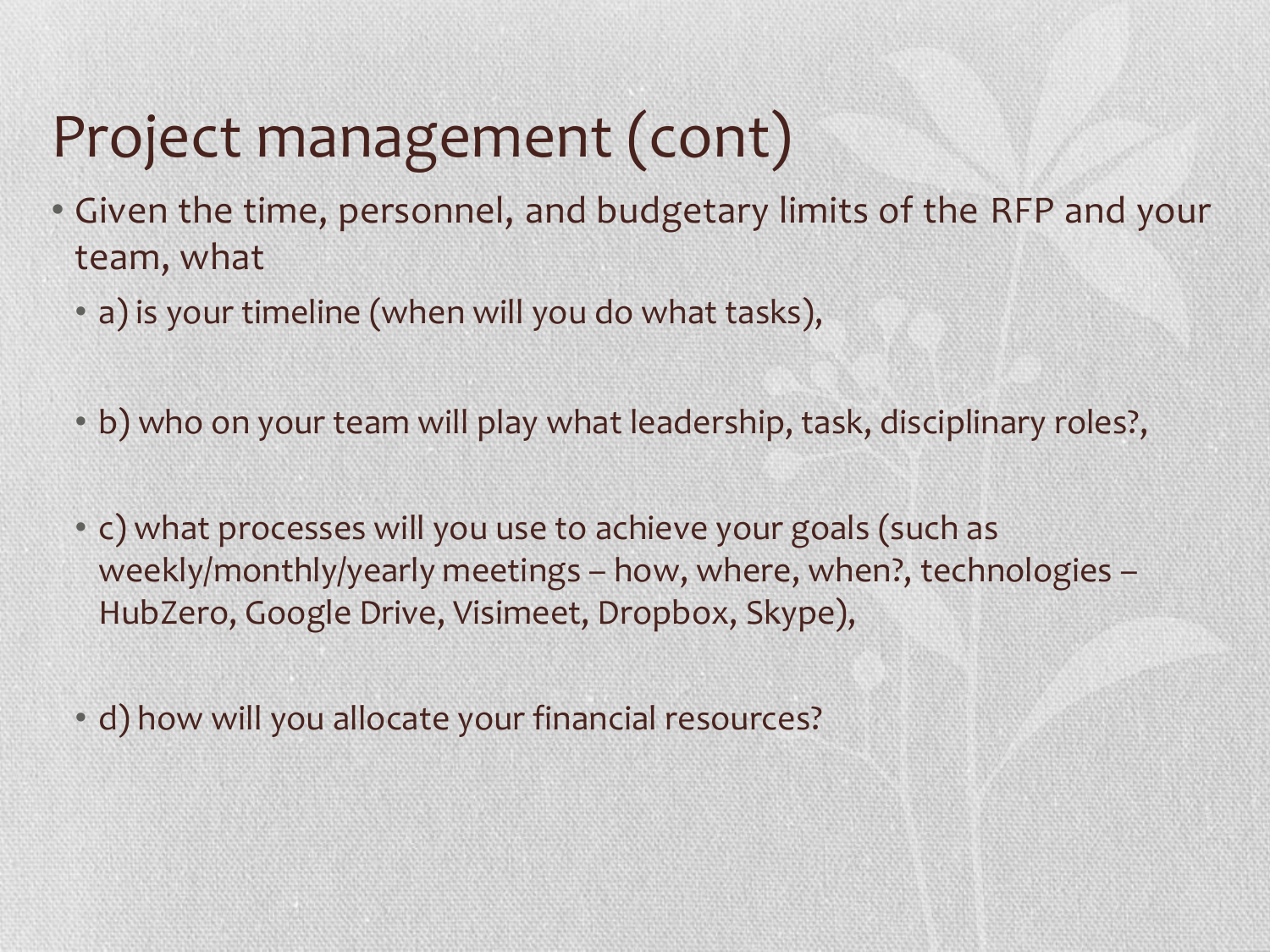# Project management (cont)

- Given the time, personnel, and budgetary limits of the RFP and your team, what
	- a) is your timeline (when will you do what tasks),
	- b) who on your team will play what leadership, task, disciplinary roles?,
	- c) what processes will you use to achieve your goals (such as weekly/monthly/yearly meetings – how, where, when?, technologies – HubZero, Google Drive, Visimeet, Dropbox, Skype),
	- d) how will you allocate your financial resources?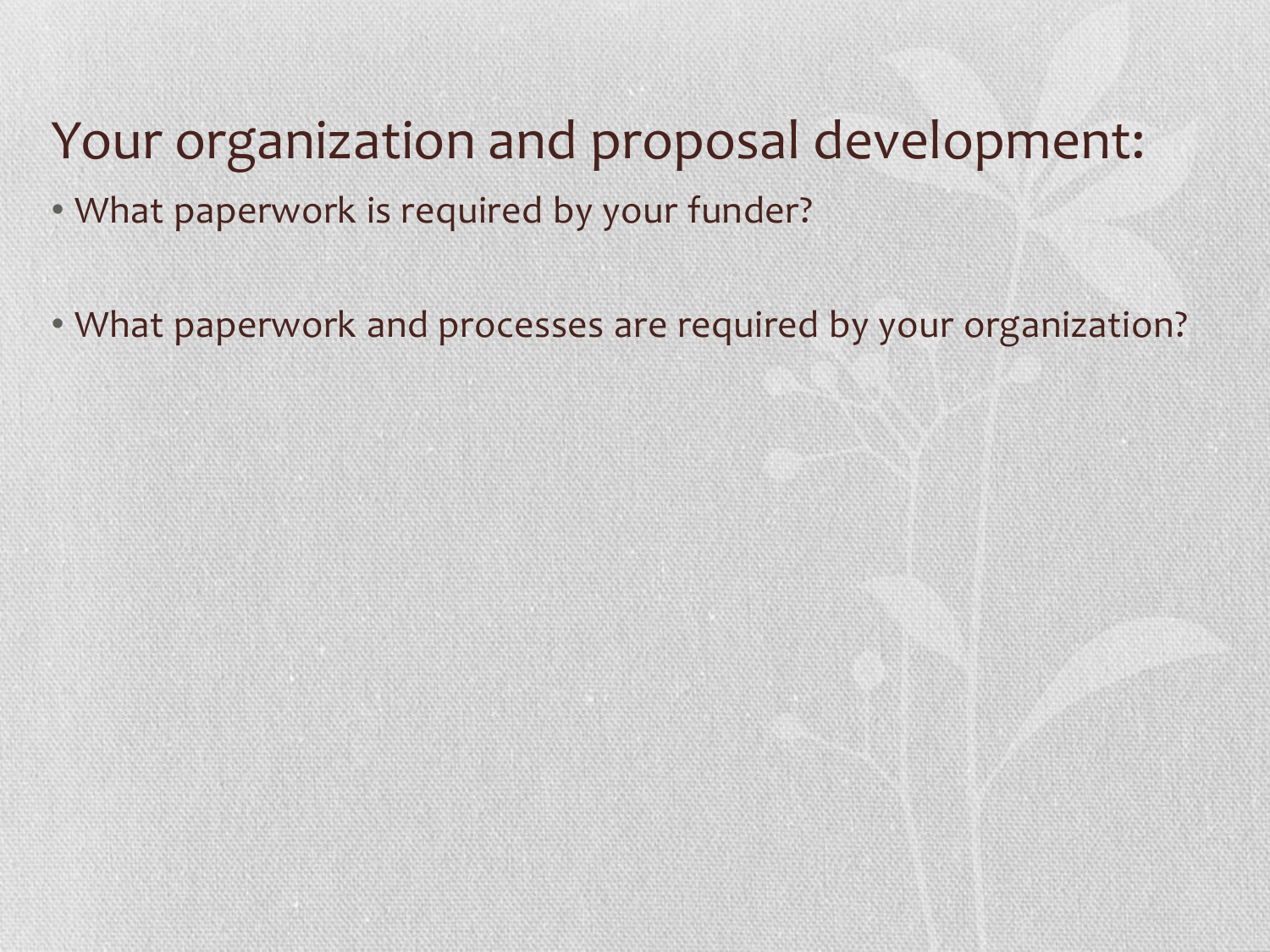#### Your organization and proposal development:

- What paperwork is required by your funder?
- What paperwork and processes are required by your organization?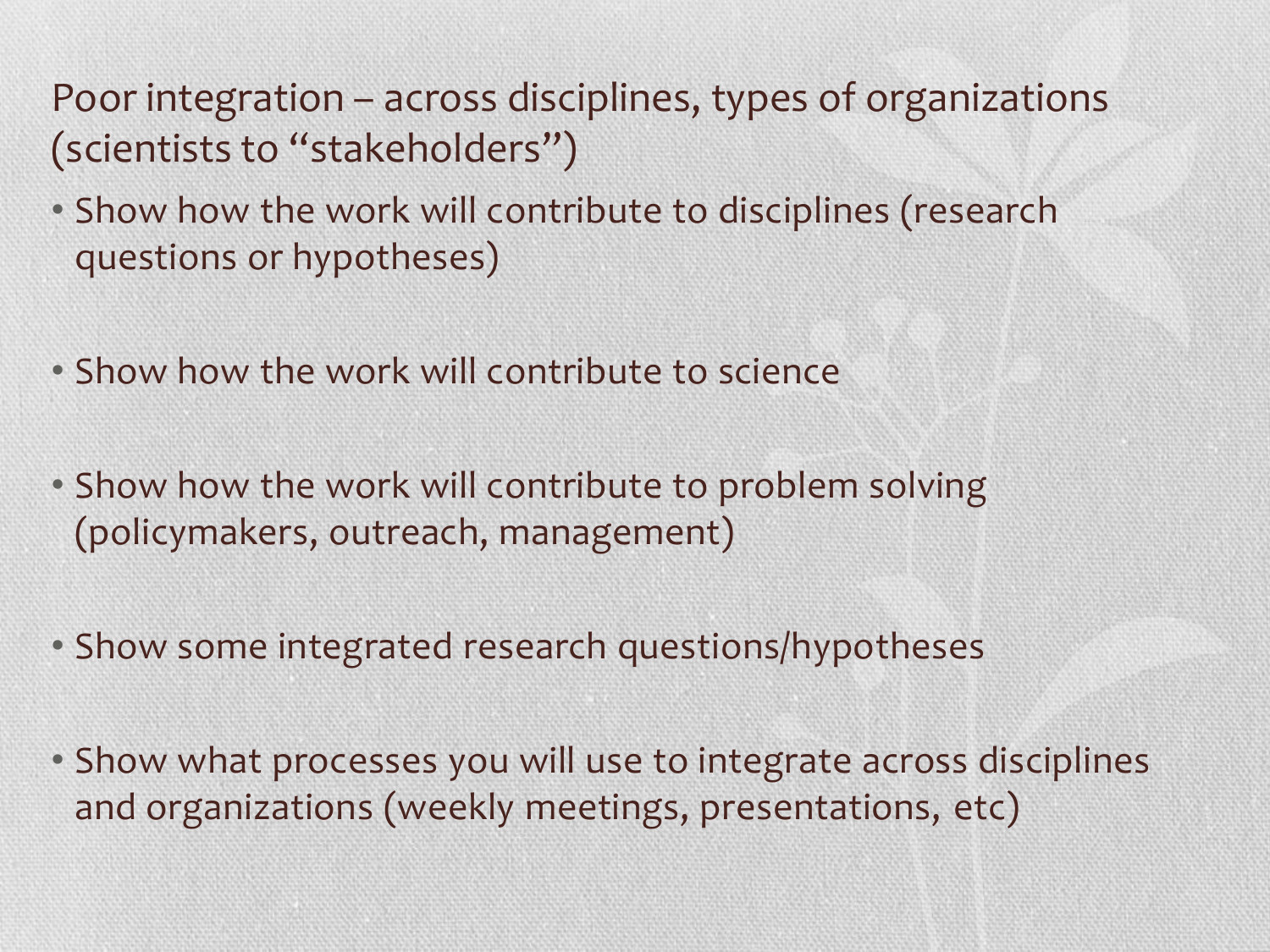Poor integration – across disciplines, types of organizations (scientists to "stakeholders")

- Show how the work will contribute to disciplines (research questions or hypotheses)
- Show how the work will contribute to science
- Show how the work will contribute to problem solving (policymakers, outreach, management)
- Show some integrated research questions/hypotheses
- Show what processes you will use to integrate across disciplines and organizations (weekly meetings, presentations, etc)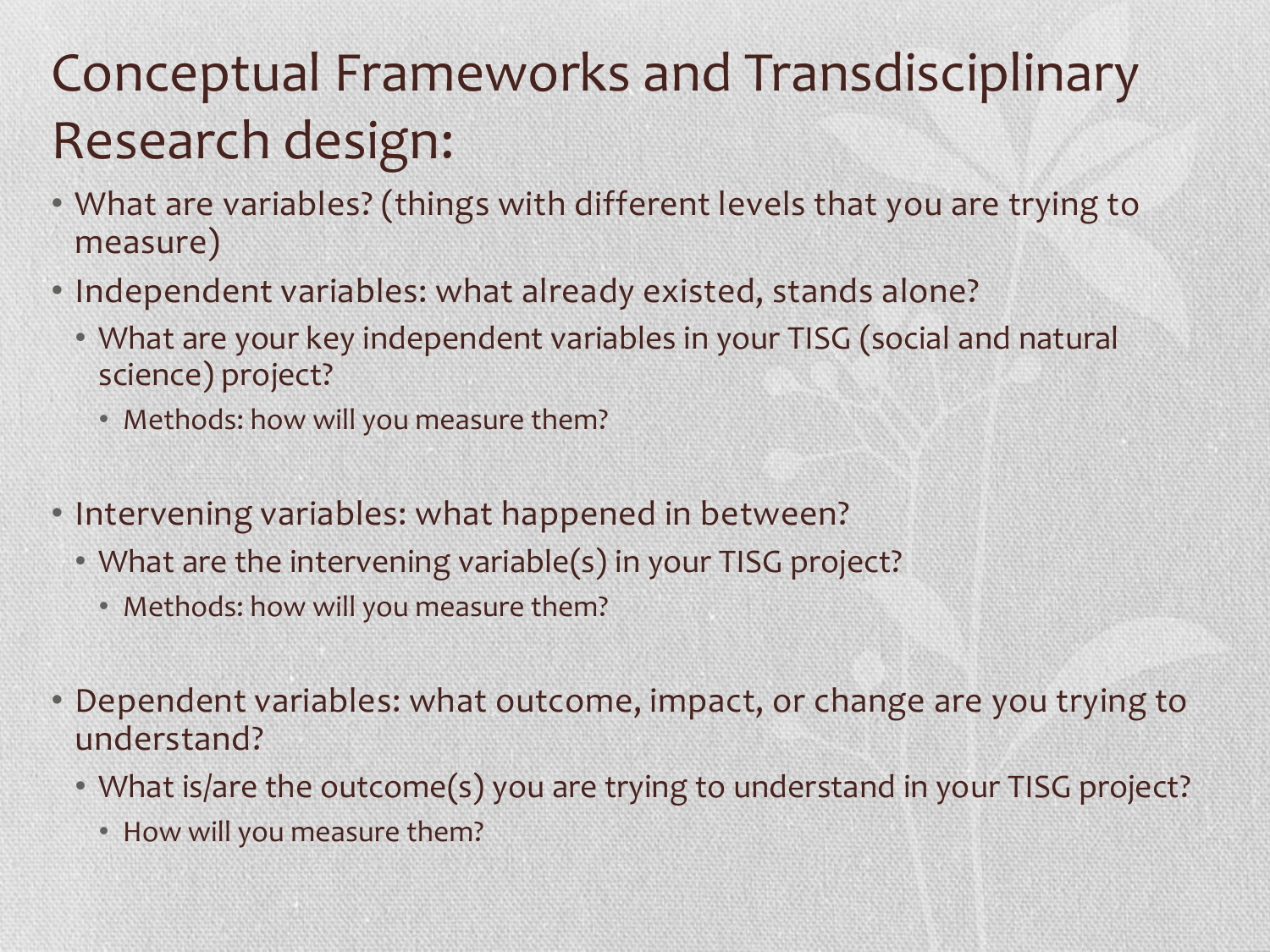### Conceptual Frameworks and Transdisciplinary Research design:

- What are variables? (things with different levels that you are trying to measure)
- Independent variables: what already existed, stands alone?
	- What are your key independent variables in your TISG (social and natural science) project?
		- Methods: how will you measure them?
- Intervening variables: what happened in between?
	- What are the intervening variable(s) in your TISG project?
		- Methods: how will you measure them?
- Dependent variables: what outcome, impact, or change are you trying to understand?
	- What is/are the outcome(s) you are trying to understand in your TISG project?
		- How will you measure them?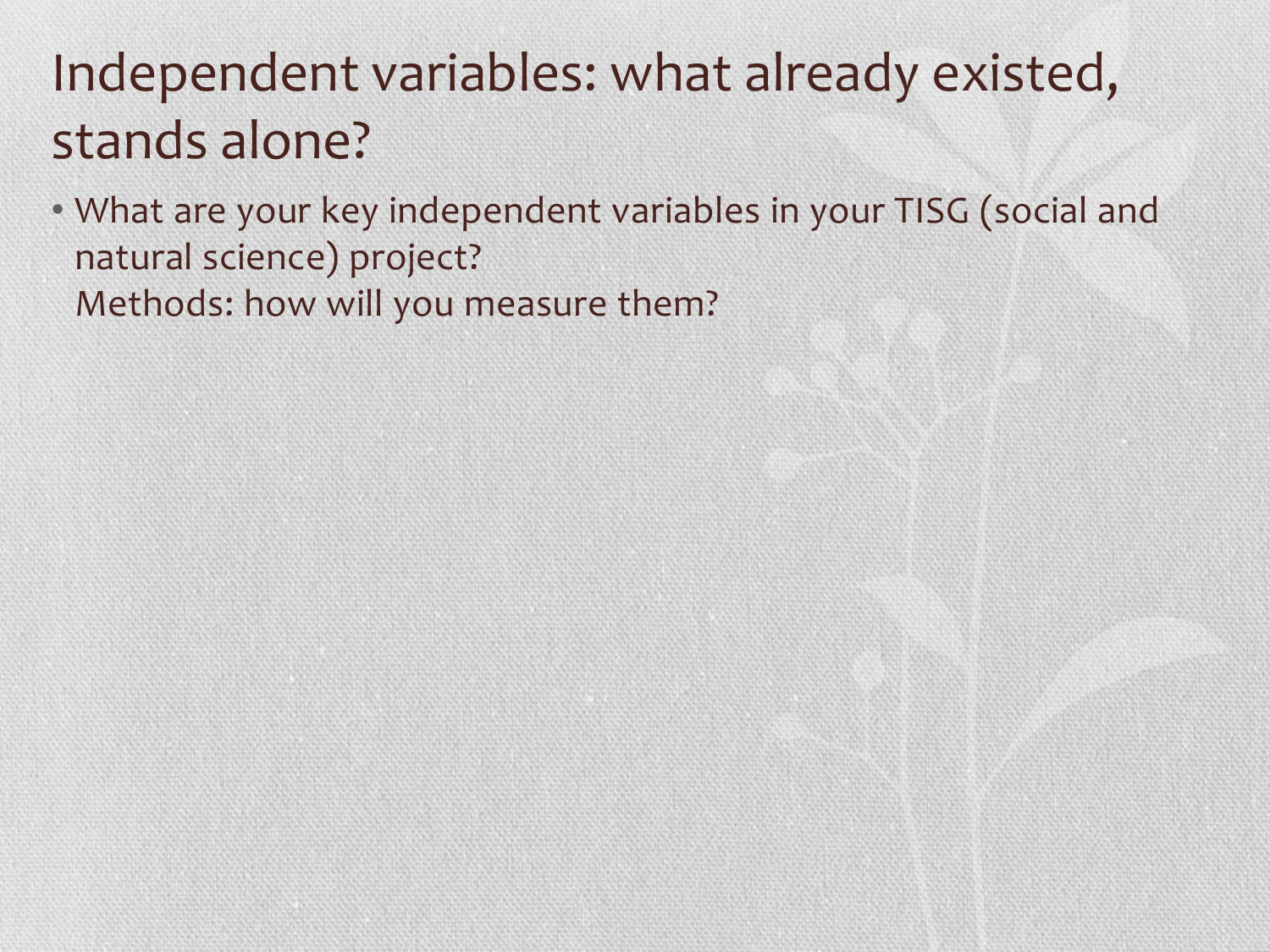### Independent variables: what already existed, stands alone?

• What are your key independent variables in your TISG (social and natural science) project? Methods: how will you measure them?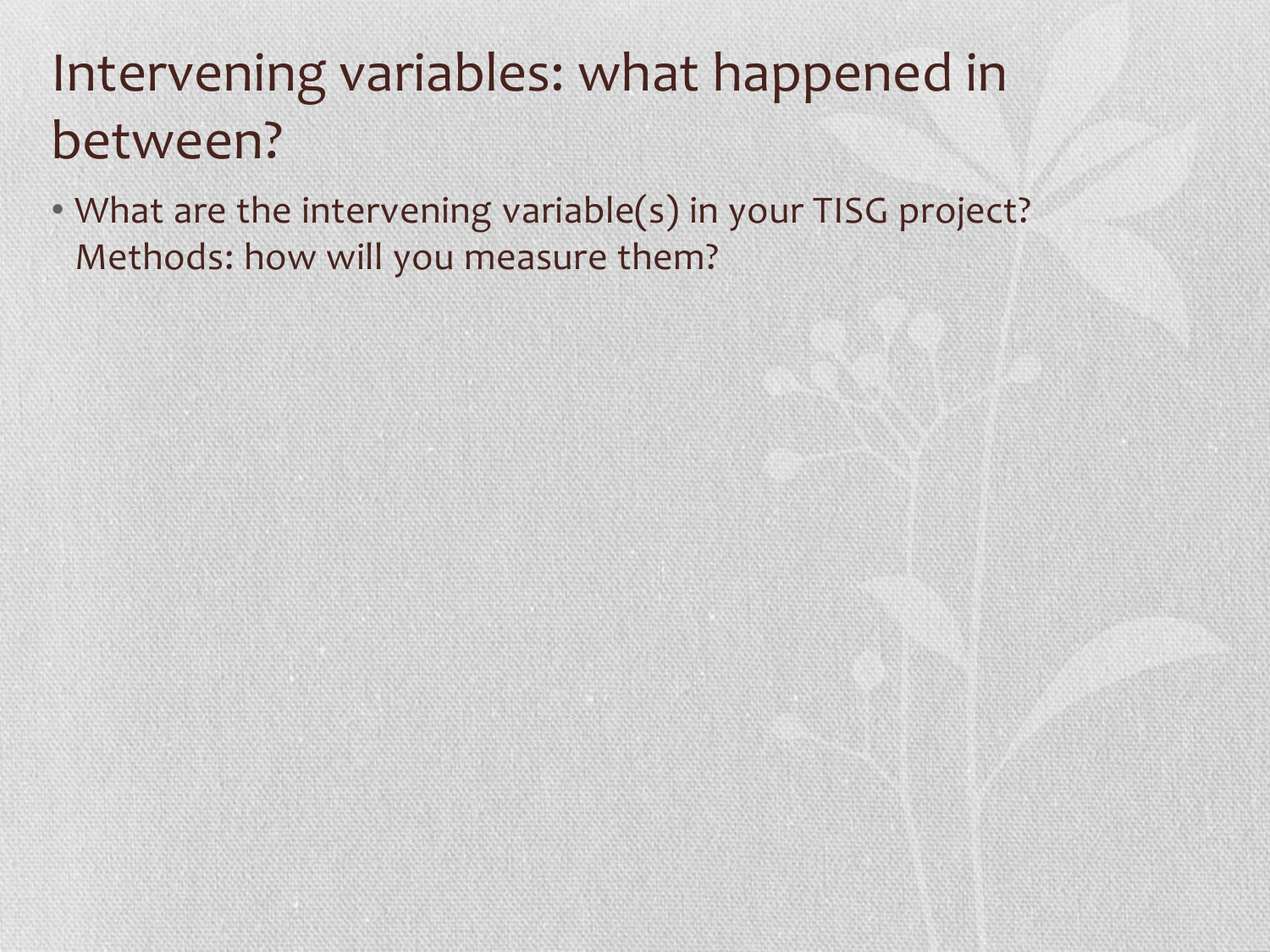### Intervening variables: what happened in between?

• What are the intervening variable(s) in your TISG project? Methods: how will you measure them?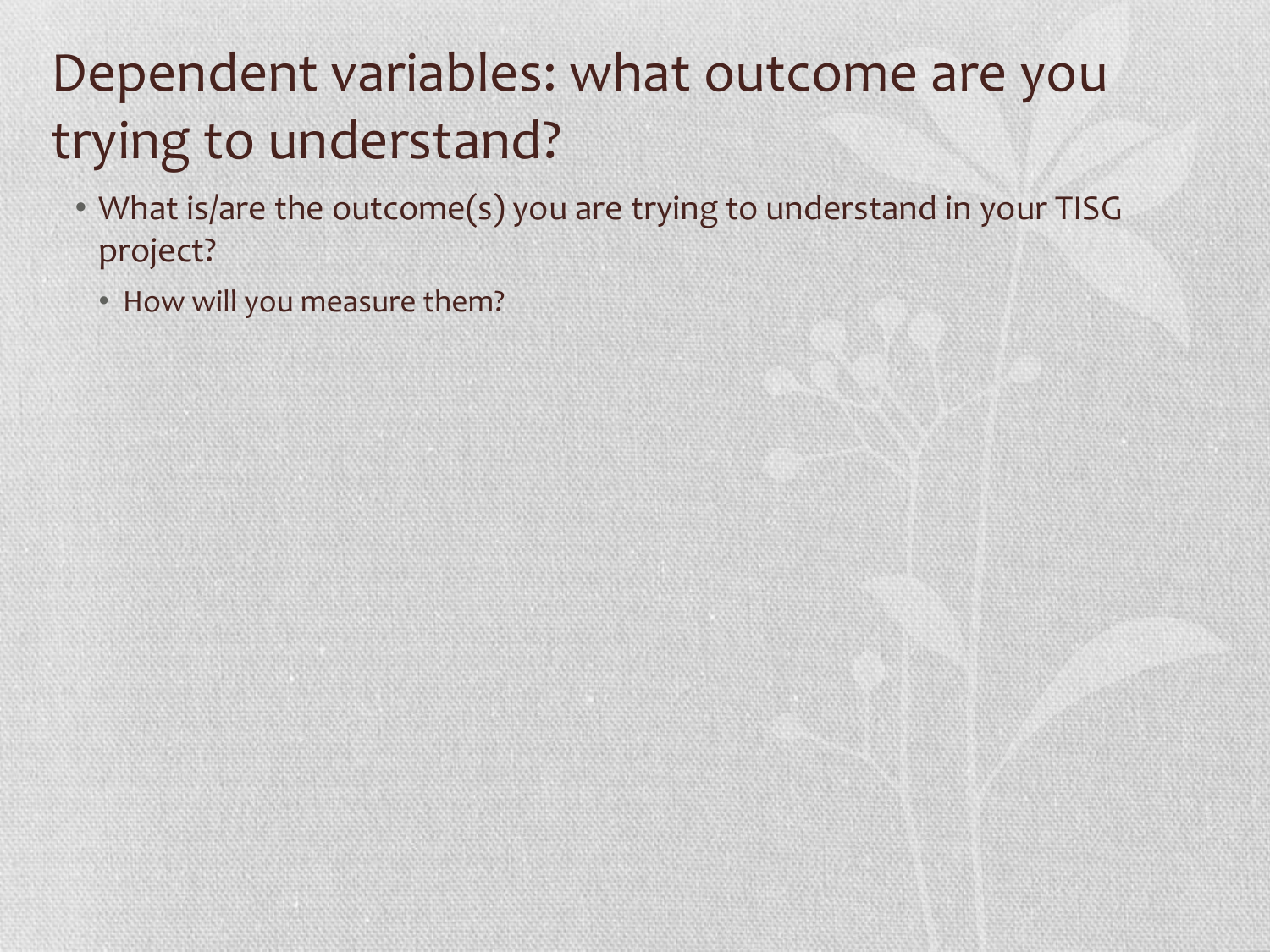### Dependent variables: what outcome are you trying to understand?

- What is/are the outcome(s) you are trying to understand in your TISG project?
	- How will you measure them?